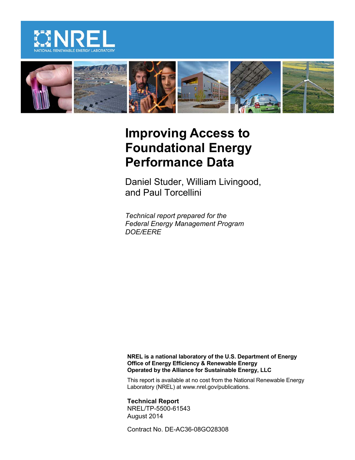



# **Improving Access to Foundational Energy Performance Data**

Daniel Studer, William Livingood, and Paul Torcellini

*Technical report prepared for the Federal Energy Management Program DOE/EERE*

**NREL is a national laboratory of the U.S. Department of Energy Office of Energy Efficiency & Renewable Energy Operated by the Alliance for Sustainable Energy, LLC**

This report is available at no cost from the National Renewable Energy Laboratory (NREL) at www.nrel.gov/publications.

**Technical Report** NREL/TP-5500-61543 August 2014

Contract No. DE-AC36-08GO28308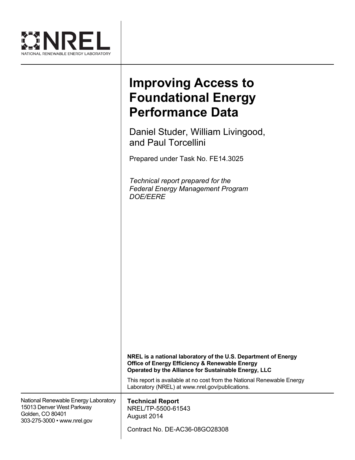

# **Improving Access to Foundational Energy Performance Data**

Daniel Studer, William Livingood, and Paul Torcellini

Prepared under Task No. FE14.3025

*Technical report prepared for the Federal Energy Management Program DOE/EERE*

|                                                                                                                      | NREL is a national laboratory of the U.S. Department of Energy<br>Office of Energy Efficiency & Renewable Energy<br>Operated by the Alliance for Sustainable Energy, LLC |
|----------------------------------------------------------------------------------------------------------------------|--------------------------------------------------------------------------------------------------------------------------------------------------------------------------|
|                                                                                                                      | This report is available at no cost from the National Renewable Energy<br>Laboratory (NREL) at www.nrel.gov/publications.                                                |
| National Renewable Energy Laboratory<br>15013 Denver West Parkway<br>Golden, CO 80401<br>303-275-3000 • www.nrel.gov | <b>Technical Report</b><br>NREL/TP-5500-61543<br>August 2014<br>Contract No. DE-AC36-08GO28308                                                                           |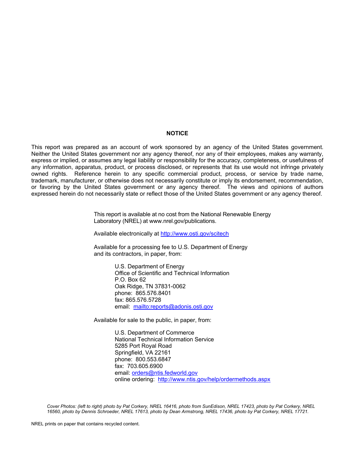#### **NOTICE**

This report was prepared as an account of work sponsored by an agency of the United States government. Neither the United States government nor any agency thereof, nor any of their employees, makes any warranty, express or implied, or assumes any legal liability or responsibility for the accuracy, completeness, or usefulness of any information, apparatus, product, or process disclosed, or represents that its use would not infringe privately owned rights. Reference herein to any specific commercial product, process, or service by trade name, trademark, manufacturer, or otherwise does not necessarily constitute or imply its endorsement, recommendation, or favoring by the United States government or any agency thereof. The views and opinions of authors expressed herein do not necessarily state or reflect those of the United States government or any agency thereof.

> This report is available at no cost from the National Renewable Energy Laboratory (NREL) at www.nrel.gov/publications.

Available electronically at<http://www.osti.gov/scitech>

Available for a processing fee to U.S. Department of Energy and its contractors, in paper, from:

> U.S. Department of Energy Office of Scientific and Technical Information P.O. Box 62 Oak Ridge, TN 37831-0062 phone: 865.576.8401 fax: 865.576.5728 email: <mailto:reports@adonis.osti.gov>

Available for sale to the public, in paper, from:

U.S. Department of Commerce National Technical Information Service 5285 Port Royal Road Springfield, VA 22161 phone: 800.553.6847 fax: 703.605.6900 email: [orders@ntis.fedworld.gov](mailto:orders@ntis.fedworld.gov) online ordering: <http://www.ntis.gov/help/ordermethods.aspx>

*Cover Photos: (left to right) photo by Pat Corkery, NREL 16416, photo from SunEdison, NREL 17423, photo by Pat Corkery, NREL 16560, photo by Dennis Schroeder, NREL 17613, photo by Dean Armstrong, NREL 17436, photo by Pat Corkery, NREL 17721.*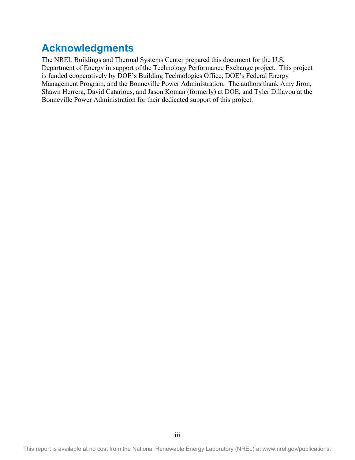### <span id="page-3-0"></span>**Acknowledgments**

<span id="page-3-1"></span>The NREL Buildings and Thermal Systems Center prepared this document for the U.S. Department of Energy in support of the Technology Performance Exchange project. This project is funded cooperatively by DOE's Building Technologies Office, DOE's Federal Energy Management Program, and the Bonneville Power Administration. The authors thank Amy Jiron, Shawn Herrera, David Catarious, and Jason Koman (formerly) at DOE, and Tyler Dillavou at the Bonneville Power Administration for their dedicated support of this project.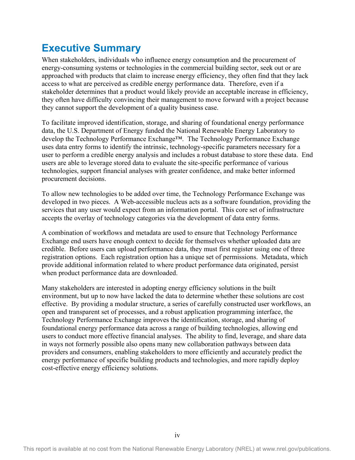### **Executive Summary**

When stakeholders, individuals who influence energy consumption and the procurement of energy-consuming systems or technologies in the commercial building sector, seek out or are approached with products that claim to increase energy efficiency, they often find that they lack access to what are perceived as credible energy performance data. Therefore, even if a stakeholder determines that a product would likely provide an acceptable increase in efficiency, they often have difficulty convincing their management to move forward with a project because they cannot support the development of a quality business case.

To facilitate improved identification, storage, and sharing of foundational energy performance data, the U.S. Department of Energy funded the National Renewable Energy Laboratory to develop the Technology Performance Exchange™. The Technology Performance Exchange uses data entry forms to identify the intrinsic, technology-specific parameters necessary for a user to perform a credible energy analysis and includes a robust database to store these data. End users are able to leverage stored data to evaluate the site-specific performance of various technologies, support financial analyses with greater confidence, and make better informed procurement decisions.

To allow new technologies to be added over time, the Technology Performance Exchange was developed in two pieces. A Web-accessible nucleus acts as a software foundation, providing the services that any user would expect from an information portal. This core set of infrastructure accepts the overlay of technology categories via the development of data entry forms.

A combination of workflows and metadata are used to ensure that Technology Performance Exchange end users have enough context to decide for themselves whether uploaded data are credible. Before users can upload performance data, they must first register using one of three registration options. Each registration option has a unique set of permissions. Metadata, which provide additional information related to where product performance data originated, persist when product performance data are downloaded.

<span id="page-4-0"></span>Many stakeholders are interested in adopting energy efficiency solutions in the built environment, but up to now have lacked the data to determine whether these solutions are cost effective. By providing a modular structure, a series of carefully constructed user workflows, an open and transparent set of processes, and a robust application programming interface, the Technology Performance Exchange improves the identification, storage, and sharing of foundational energy performance data across a range of building technologies, allowing end users to conduct more effective financial analyses. The ability to find, leverage, and share data in ways not formerly possible also opens many new collaboration pathways between data providers and consumers, enabling stakeholders to more efficiently and accurately predict the energy performance of specific building products and technologies, and more rapidly deploy cost-effective energy efficiency solutions.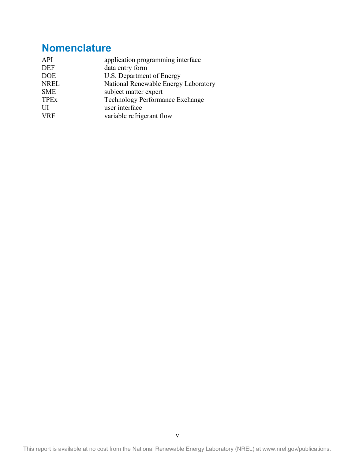### **Nomenclature**

<span id="page-5-0"></span>

| API         | application programming interface      |
|-------------|----------------------------------------|
| <b>DEF</b>  | data entry form                        |
| <b>DOE</b>  | U.S. Department of Energy              |
| <b>NREL</b> | National Renewable Energy Laboratory   |
| <b>SME</b>  | subject matter expert                  |
| <b>TPEx</b> | <b>Technology Performance Exchange</b> |
| UП          | user interface                         |
| <b>VRF</b>  | variable refrigerant flow              |
|             |                                        |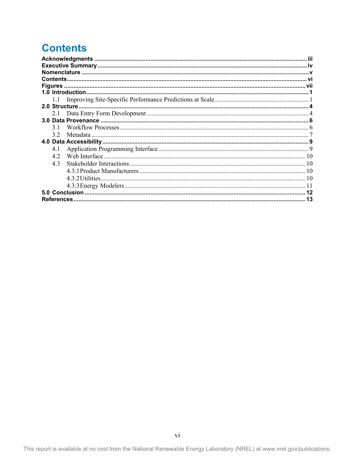### **Contents**

<span id="page-6-0"></span>

| 31  |  |
|-----|--|
| 32  |  |
|     |  |
| 4.1 |  |
| 42  |  |
| 43  |  |
|     |  |
|     |  |
|     |  |
|     |  |
|     |  |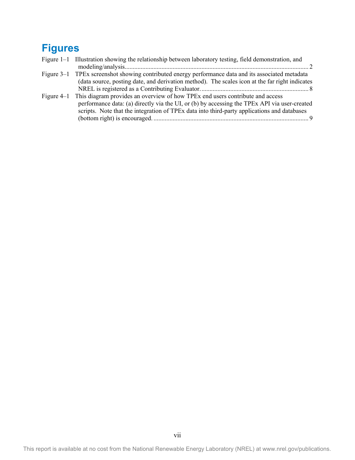## **Figures**

| Figure 1–1 Illustration showing the relationship between laboratory testing, field demonstration, and                                                                                       |
|---------------------------------------------------------------------------------------------------------------------------------------------------------------------------------------------|
|                                                                                                                                                                                             |
| Figure 3–1 TPEx screenshot showing contributed energy performance data and its associated metadata                                                                                          |
| (data source, posting date, and derivation method). The scales icon at the far right indicates                                                                                              |
|                                                                                                                                                                                             |
| Figure 4–1 This diagram provides an overview of how TPEx end users contribute and access                                                                                                    |
| performance data: (a) directly via the UI, or (b) by accessing the TPEx API via user-created<br>scripts. Note that the integration of TPEx data into third-party applications and databases |
|                                                                                                                                                                                             |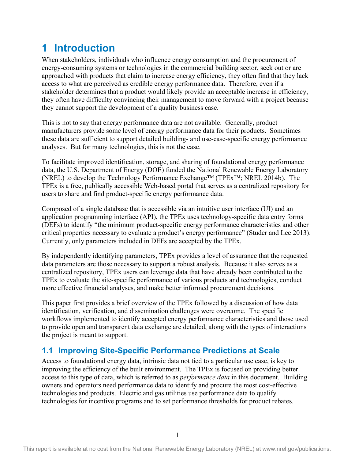### <span id="page-8-0"></span>**1 Introduction**

When stakeholders, individuals who influence energy consumption and the procurement of energy-consuming systems or technologies in the commercial building sector, seek out or are approached with products that claim to increase energy efficiency, they often find that they lack access to what are perceived as credible energy performance data. Therefore, even if a stakeholder determines that a product would likely provide an acceptable increase in efficiency, they often have difficulty convincing their management to move forward with a project because they cannot support the development of a quality business case.

This is not to say that energy performance data are not available. Generally, product manufacturers provide some level of energy performance data for their products. Sometimes these data are sufficient to support detailed building- and use-case-specific energy performance analyses. But for many technologies, this is not the case.

To facilitate improved identification, storage, and sharing of foundational energy performance data, the U.S. Department of Energy (DOE) funded the National Renewable Energy Laboratory (NREL) to develop the Technology Performance Exchange™ (TPEx™; NREL 2014b). The TPEx is a free, publically accessible Web-based portal that serves as a centralized repository for users to share and find product-specific energy performance data.

Composed of a single database that is accessible via an intuitive user interface (UI) and an application programming interface (API), the TPEx uses technology-specific data entry forms (DEFs) to identify "the minimum product-specific energy performance characteristics and other critical properties necessary to evaluate a product's energy performance" (Studer and Lee 2013). Currently, only parameters included in DEFs are accepted by the TPEx.

By independently identifying parameters, TPEx provides a level of assurance that the requested data parameters are those necessary to support a robust analysis. Because it also serves as a centralized repository, TPEx users can leverage data that have already been contributed to the TPEx to evaluate the site-specific performance of various products and technologies, conduct more effective financial analyses, and make better informed procurement decisions.

This paper first provides a brief overview of the TPEx followed by a discussion of how data identification, verification, and dissemination challenges were overcome. The specific workflows implemented to identify accepted energy performance characteristics and those used to provide open and transparent data exchange are detailed, along with the types of interactions the project is meant to support.

### <span id="page-8-1"></span>**1.1 Improving Site-Specific Performance Predictions at Scale**

Access to foundational energy data, intrinsic data not tied to a particular use case, is key to improving the efficiency of the built environment. The TPEx is focused on providing better access to this type of data, which is referred to as *performance data* in this document. Building owners and operators need performance data to identify and procure the most cost-effective technologies and products. Electric and gas utilities use performance data to qualify technologies for incentive programs and to set performance thresholds for product rebates.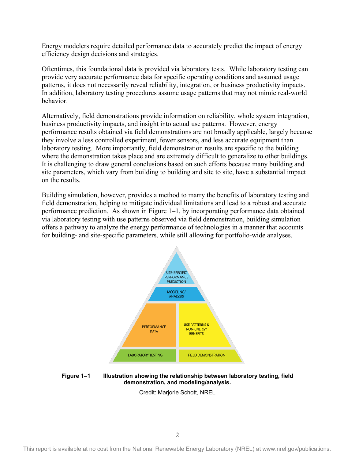Energy modelers require detailed performance data to accurately predict the impact of energy efficiency design decisions and strategies.

Oftentimes, this foundational data is provided via laboratory tests. While laboratory testing can provide very accurate performance data for specific operating conditions and assumed usage patterns, it does not necessarily reveal reliability, integration, or business productivity impacts. In addition, laboratory testing procedures assume usage patterns that may not mimic real-world behavior.

Alternatively, field demonstrations provide information on reliability, whole system integration, business productivity impacts, and insight into actual use patterns. However, energy performance results obtained via field demonstrations are not broadly applicable, largely because they involve a less controlled experiment, fewer sensors, and less accurate equipment than laboratory testing. More importantly, field demonstration results are specific to the building where the demonstration takes place and are extremely difficult to generalize to other buildings. It is challenging to draw general conclusions based on such efforts because many building and site parameters, which vary from building to building and site to site, have a substantial impact on the results.

Building simulation, however, provides a method to marry the benefits of laboratory testing and field demonstration, helping to mitigate individual limitations and lead to a robust and accurate performance prediction. As shown in [Figure 1–1,](#page-9-0) by incorporating performance data obtained via laboratory testing with use patterns observed via field demonstration, building simulation offers a pathway to analyze the energy performance of technologies in a manner that accounts for building- and site-specific parameters, while still allowing for portfolio-wide analyses.



#### <span id="page-9-0"></span>**Figure 1–1 Illustration showing the relationship between laboratory testing, field demonstration, and modeling/analysis.**

Credit: Marjorie Schott, NREL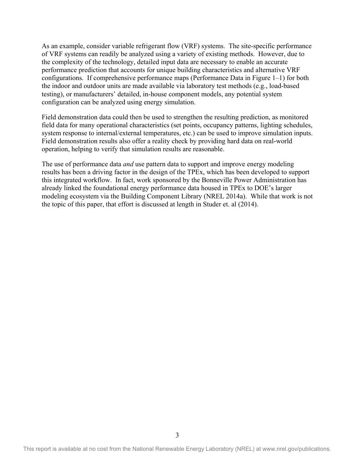As an example, consider variable refrigerant flow (VRF) systems. The site-specific performance of VRF systems can readily be analyzed using a variety of existing methods. However, due to the complexity of the technology, detailed input data are necessary to enable an accurate performance prediction that accounts for unique building characteristics and alternative VRF configurations. If comprehensive performance maps (Performance Data in [Figure 1–1\)](#page-9-0) for both the indoor and outdoor units are made available via laboratory test methods (e.g., load-based testing), or manufacturers' detailed, in-house component models, any potential system configuration can be analyzed using energy simulation.

Field demonstration data could then be used to strengthen the resulting prediction, as monitored field data for many operational characteristics (set points, occupancy patterns, lighting schedules, system response to internal/external temperatures, etc.) can be used to improve simulation inputs. Field demonstration results also offer a reality check by providing hard data on real-world operation, helping to verify that simulation results are reasonable.

The use of performance data *and* use pattern data to support and improve energy modeling results has been a driving factor in the design of the TPEx, which has been developed to support this integrated workflow. In fact, work sponsored by the Bonneville Power Administration has already linked the foundational energy performance data housed in TPEx to DOE's larger modeling ecosystem via the Building Component Library (NREL 2014a). While that work is not the topic of this paper, that effort is discussed at length in Studer et. al (2014).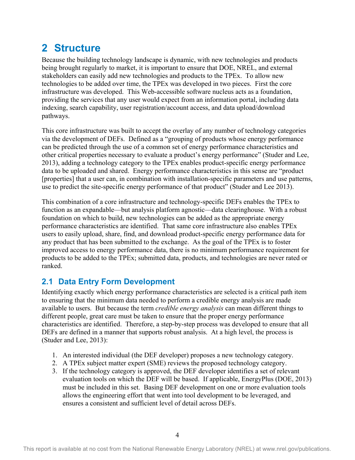### <span id="page-11-0"></span>**2 Structure**

Because the building technology landscape is dynamic, with new technologies and products being brought regularly to market, it is important to ensure that DOE, NREL, and external stakeholders can easily add new technologies and products to the TPEx. To allow new technologies to be added over time, the TPEx was developed in two pieces. First the core infrastructure was developed. This Web-accessible software nucleus acts as a foundation, providing the services that any user would expect from an information portal, including data indexing, search capability, user registration/account access, and data upload/download pathways.

This core infrastructure was built to accept the overlay of any number of technology categories via the development of DEFs. Defined as a "grouping of products whose energy performance can be predicted through the use of a common set of energy performance characteristics and other critical properties necessary to evaluate a product's energy performance" (Studer and Lee, 2013), adding a technology category to the TPEx enables product-specific energy performance data to be uploaded and shared. Energy performance characteristics in this sense are "product [properties] that a user can, in combination with installation-specific parameters and use patterns, use to predict the site-specific energy performance of that product" (Studer and Lee 2013).

This combination of a core infrastructure and technology-specific DEFs enables the TPEx to function as an expandable—but analysis platform agnostic—data clearinghouse. With a robust foundation on which to build, new technologies can be added as the appropriate energy performance characteristics are identified. That same core infrastructure also enables TPEx users to easily upload, share, find, and download product-specific energy performance data for any product that has been submitted to the exchange. As the goal of the TPEx is to foster improved access to energy performance data, there is no minimum performance requirement for products to be added to the TPEx; submitted data, products, and technologies are never rated or ranked.

#### <span id="page-11-1"></span>**2.1 Data Entry Form Development**

Identifying exactly which energy performance characteristics are selected is a critical path item to ensuring that the minimum data needed to perform a credible energy analysis are made available to users. But because the term *credible energy analysis* can mean different things to different people, great care must be taken to ensure that the proper energy performance characteristics are identified. Therefore, a step-by-step process was developed to ensure that all DEFs are defined in a manner that supports robust analysis. At a high level, the process is (Studer and Lee, 2013):

- 1. An interested individual (the DEF developer) proposes a new technology category.
- 2. A TPEx subject matter expert (SME) reviews the proposed technology category.
- 3. If the technology category is approved, the DEF developer identifies a set of relevant evaluation tools on which the DEF will be based. If applicable, EnergyPlus (DOE, 2013) must be included in this set. Basing DEF development on one or more evaluation tools allows the engineering effort that went into tool development to be leveraged, and ensures a consistent and sufficient level of detail across DEFs.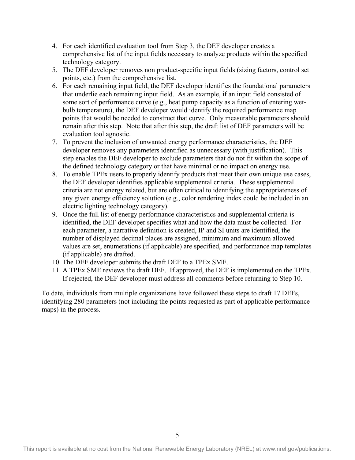- 4. For each identified evaluation tool from Step 3, the DEF developer creates a comprehensive list of the input fields necessary to analyze products within the specified technology category.
- 5. The DEF developer removes non product-specific input fields (sizing factors, control set points, etc.) from the comprehensive list.
- 6. For each remaining input field, the DEF developer identifies the foundational parameters that underlie each remaining input field. As an example, if an input field consisted of some sort of performance curve (e.g., heat pump capacity as a function of entering wetbulb temperature), the DEF developer would identify the required performance map points that would be needed to construct that curve. Only measurable parameters should remain after this step. Note that after this step, the draft list of DEF parameters will be evaluation tool agnostic.
- 7. To prevent the inclusion of unwanted energy performance characteristics, the DEF developer removes any parameters identified as unnecessary (with justification). This step enables the DEF developer to exclude parameters that do not fit within the scope of the defined technology category or that have minimal or no impact on energy use.
- 8. To enable TPEx users to properly identify products that meet their own unique use cases, the DEF developer identifies applicable supplemental criteria. These supplemental criteria are not energy related, but are often critical to identifying the appropriateness of any given energy efficiency solution (e.g., color rendering index could be included in an electric lighting technology category).
- 9. Once the full list of energy performance characteristics and supplemental criteria is identified, the DEF developer specifies what and how the data must be collected. For each parameter, a narrative definition is created, IP and SI units are identified, the number of displayed decimal places are assigned, minimum and maximum allowed values are set, enumerations (if applicable) are specified, and performance map templates (if applicable) are drafted.
- 10. The DEF developer submits the draft DEF to a TPEx SME.
- 11. A TPEx SME reviews the draft DEF. If approved, the DEF is implemented on the TPEx. If rejected, the DEF developer must address all comments before returning to Step 10.

To date, individuals from multiple organizations have followed these steps to draft 17 DEFs, identifying 280 parameters (not including the points requested as part of applicable performance maps) in the process.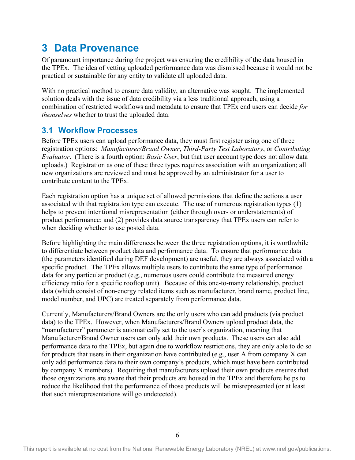### <span id="page-13-0"></span>**3 Data Provenance**

Of paramount importance during the project was ensuring the credibility of the data housed in the TPEx. The idea of vetting uploaded performance data was dismissed because it would not be practical or sustainable for any entity to validate all uploaded data.

With no practical method to ensure data validity, an alternative was sought. The implemented solution deals with the issue of data credibility via a less traditional approach, using a combination of restricted workflows and metadata to ensure that TPEx end users can decide *for themselves* whether to trust the uploaded data.

#### <span id="page-13-1"></span>**3.1 Workflow Processes**

Before TPEx users can upload performance data, they must first register using one of three registration options: *Manufacturer/Brand Owner*, *Third-Party Test Laboratory*, or *Contributing Evaluator*. (There is a fourth option: *Basic User*, but that user account type does not allow data uploads.) Registration as one of these three types requires association with an organization; all new organizations are reviewed and must be approved by an administrator for a user to contribute content to the TPEx.

Each registration option has a unique set of allowed permissions that define the actions a user associated with that registration type can execute. The use of numerous registration types (1) helps to prevent intentional misrepresentation (either through over- or understatements) of product performance; and (2) provides data source transparency that TPEx users can refer to when deciding whether to use posted data.

Before highlighting the main differences between the three registration options, it is worthwhile to differentiate between product data and performance data. To ensure that performance data (the parameters identified during DEF development) are useful, they are always associated with a specific product. The TPEx allows multiple users to contribute the same type of performance data for any particular product (e.g., numerous users could contribute the measured energy efficiency ratio for a specific rooftop unit). Because of this one-to-many relationship, product data (which consist of non-energy related items such as manufacturer, brand name, product line, model number, and UPC) are treated separately from performance data.

Currently, Manufacturers/Brand Owners are the only users who can add products (via product data) to the TPEx. However, when Manufacturers/Brand Owners upload product data, the "manufacturer" parameter is automatically set to the user's organization, meaning that Manufacturer/Brand Owner users can only add their own products. These users can also add performance data to the TPEx, but again due to workflow restrictions, they are only able to do so for products that users in their organization have contributed (e.g., user A from company X can only add performance data to their own company's products, which must have been contributed by company X members). Requiring that manufacturers upload their own products ensures that those organizations are aware that their products are housed in the TPEx and therefore helps to reduce the likelihood that the performance of those products will be misrepresented (or at least that such misrepresentations will go undetected).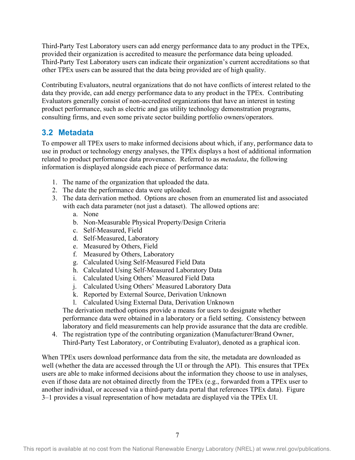Third-Party Test Laboratory users can add energy performance data to any product in the TPEx, provided their organization is accredited to measure the performance data being uploaded. Third-Party Test Laboratory users can indicate their organization's current accreditations so that other TPEx users can be assured that the data being provided are of high quality.

Contributing Evaluators, neutral organizations that do not have conflicts of interest related to the data they provide, can add energy performance data to any product in the TPEx. Contributing Evaluators generally consist of non-accredited organizations that have an interest in testing product performance, such as electric and gas utility technology demonstration programs, consulting firms, and even some private sector building portfolio owners/operators.

#### <span id="page-14-0"></span>**3.2 Metadata**

To empower all TPEx users to make informed decisions about which, if any, performance data to use in product or technology energy analyses, the TPEx displays a host of additional information related to product performance data provenance. Referred to as *metadata*, the following information is displayed alongside each piece of performance data:

- 1. The name of the organization that uploaded the data.
- 2. The date the performance data were uploaded.
- 3. The data derivation method. Options are chosen from an enumerated list and associated with each data parameter (not just a dataset). The allowed options are:
	- a. None
	- b. Non-Measurable Physical Property/Design Criteria
	- c. Self-Measured, Field
	- d. Self-Measured, Laboratory
	- e. Measured by Others, Field
	- f. Measured by Others, Laboratory
	- g. Calculated Using Self-Measured Field Data
	- h. Calculated Using Self-Measured Laboratory Data
	- i. Calculated Using Others' Measured Field Data
	- j. Calculated Using Others' Measured Laboratory Data
	- k. Reported by External Source, Derivation Unknown
	- l. Calculated Using External Data, Derivation Unknown

The derivation method options provide a means for users to designate whether performance data were obtained in a laboratory or a field setting. Consistency between laboratory and field measurements can help provide assurance that the data are credible.

4. The registration type of the contributing organization (Manufacturer/Brand Owner, Third-Party Test Laboratory, or Contributing Evaluator), denoted as a graphical icon.

When TPEx users download performance data from the site, the metadata are downloaded as well (whether the data are accessed through the UI or through the API). This ensures that TPEx users are able to make informed decisions about the information they choose to use in analyses, even if those data are not obtained directly from the TPEx (e.g., forwarded from a TPEx user to another individual, or accessed via a third-party data portal that references TPEx data). [Figure](#page-15-0)  [3–1](#page-15-0) provides a visual representation of how metadata are displayed via the TPEx UI.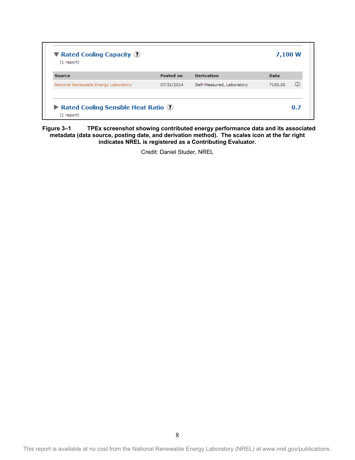| <b>Source</b>                        | <b>Posted on</b> | <b>Derivation</b>         | <b>Data</b> |    |
|--------------------------------------|------------------|---------------------------|-------------|----|
| National Renewable Energy Laboratory | 07/31/2014       | Self-Measured, Laboratory | 7100.00     | ГI |

<span id="page-15-0"></span>**Figure 3–1 TPEx screenshot showing contributed energy performance data and its associated metadata (data source, posting date, and derivation method). The scales icon at the far right indicates NREL is registered as a Contributing Evaluator.**

Credit: Daniel Studer, NREL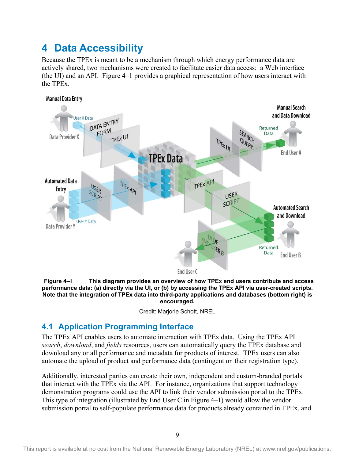### <span id="page-16-0"></span>**4 Data Accessibility**

Because the TPEx is meant to be a mechanism through which energy performance data are actively shared, two mechanisms were created to facilitate easier data access: a Web interface (the UI) and an API. [Figure 4–1](#page-16-2) provides a graphical representation of how users interact with the TPEx.



<span id="page-16-2"></span>**Figure 4– This diagram provides an overview of how TPEx end users contribute and access performance data: (a) directly via the UI, or (b) by accessing the TPEx API via user-created scripts. Note that the integration of TPEx data into third-party applications and databases (bottom right) is encouraged.**

Credit: Marjorie Schott, NREL

#### <span id="page-16-1"></span>**4.1 Application Programming Interface**

The TPEx API enables users to automate interaction with TPEx data. Using the TPEx API *search*, *download*, and *fields* resources, users can automatically query the TPEx database and download any or all performance and metadata for products of interest. TPEx users can also automate the upload of product and performance data (contingent on their registration type).

Additionally, interested parties can create their own, independent and custom-branded portals that interact with the TPEx via the API. For instance, organizations that support technology demonstration programs could use the API to link their vendor submission portal to the TPEx. This type of integration (illustrated by End User C in [Figure 4–1\)](#page-16-2) would allow the vendor submission portal to self-populate performance data for products already contained in TPEx, and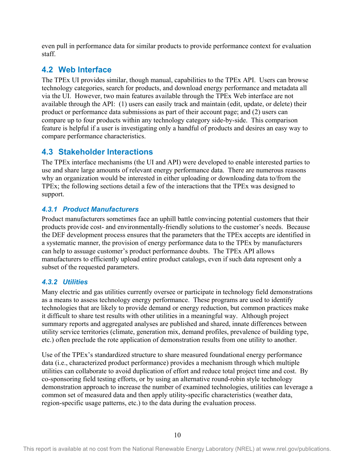even pull in performance data for similar products to provide performance context for evaluation staff.

#### <span id="page-17-0"></span>**4.2 Web Interface**

The TPEx UI provides similar, though manual, capabilities to the TPEx API. Users can browse technology categories, search for products, and download energy performance and metadata all via the UI. However, two main features available through the TPEx Web interface are not available through the API: (1) users can easily track and maintain (edit, update, or delete) their product or performance data submissions as part of their account page; and (2) users can compare up to four products within any technology category side-by-side. This comparison feature is helpful if a user is investigating only a handful of products and desires an easy way to compare performance characteristics.

#### <span id="page-17-1"></span>**4.3 Stakeholder Interactions**

The TPEx interface mechanisms (the UI and API) were developed to enable interested parties to use and share large amounts of relevant energy performance data. There are numerous reasons why an organization would be interested in either uploading or downloading data to/from the TPEx; the following sections detail a few of the interactions that the TPEx was designed to support.

#### <span id="page-17-2"></span>*4.3.1 Product Manufacturers*

Product manufacturers sometimes face an uphill battle convincing potential customers that their products provide cost- and environmentally-friendly solutions to the customer's needs. Because the DEF development process ensures that the parameters that the TPEx accepts are identified in a systematic manner, the provision of energy performance data to the TPEx by manufacturers can help to assuage customer's product performance doubts. The TPEx API allows manufacturers to efficiently upload entire product catalogs, even if such data represent only a subset of the requested parameters.

#### <span id="page-17-3"></span>*4.3.2 Utilities*

Many electric and gas utilities currently oversee or participate in technology field demonstrations as a means to assess technology energy performance. These programs are used to identify technologies that are likely to provide demand or energy reduction, but common practices make it difficult to share test results with other utilities in a meaningful way. Although project summary reports and aggregated analyses are published and shared, innate differences between utility service territories (climate, generation mix, demand profiles, prevalence of building type, etc.) often preclude the rote application of demonstration results from one utility to another.

Use of the TPEx's standardized structure to share measured foundational energy performance data (i.e., characterized product performance) provides a mechanism through which multiple utilities can collaborate to avoid duplication of effort and reduce total project time and cost. By co-sponsoring field testing efforts, or by using an alternative round-robin style technology demonstration approach to increase the number of examined technologies, utilities can leverage a common set of measured data and then apply utility-specific characteristics (weather data, region-specific usage patterns, etc.) to the data during the evaluation process.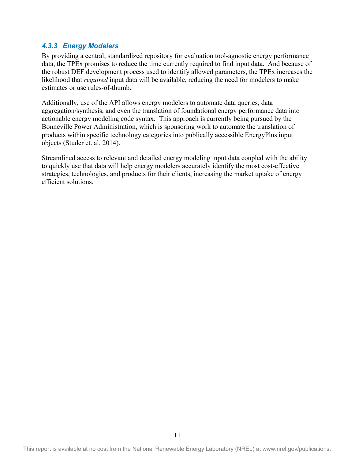#### <span id="page-18-0"></span>*4.3.3 Energy Modelers*

By providing a central, standardized repository for evaluation tool-agnostic energy performance data, the TPEx promises to reduce the time currently required to find input data. And because of the robust DEF development process used to identify allowed parameters, the TPEx increases the likelihood that *required* input data will be available, reducing the need for modelers to make estimates or use rules-of-thumb.

Additionally, use of the API allows energy modelers to automate data queries, data aggregation/synthesis, and even the translation of foundational energy performance data into actionable energy modeling code syntax. This approach is currently being pursued by the Bonneville Power Administration, which is sponsoring work to automate the translation of products within specific technology categories into publically accessible EnergyPlus input objects (Studer et. al, 2014).

Streamlined access to relevant and detailed energy modeling input data coupled with the ability to quickly use that data will help energy modelers accurately identify the most cost-effective strategies, technologies, and products for their clients, increasing the market uptake of energy efficient solutions.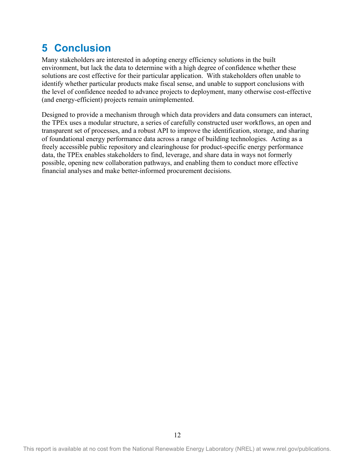### <span id="page-19-0"></span>**5 Conclusion**

Many stakeholders are interested in adopting energy efficiency solutions in the built environment, but lack the data to determine with a high degree of confidence whether these solutions are cost effective for their particular application. With stakeholders often unable to identify whether particular products make fiscal sense, and unable to support conclusions with the level of confidence needed to advance projects to deployment, many otherwise cost-effective (and energy-efficient) projects remain unimplemented.

Designed to provide a mechanism through which data providers and data consumers can interact, the TPEx uses a modular structure, a series of carefully constructed user workflows, an open and transparent set of processes, and a robust API to improve the identification, storage, and sharing of foundational energy performance data across a range of building technologies. Acting as a freely accessible public repository and clearinghouse for product-specific energy performance data, the TPEx enables stakeholders to find, leverage, and share data in ways not formerly possible, opening new collaboration pathways, and enabling them to conduct more effective financial analyses and make better-informed procurement decisions.